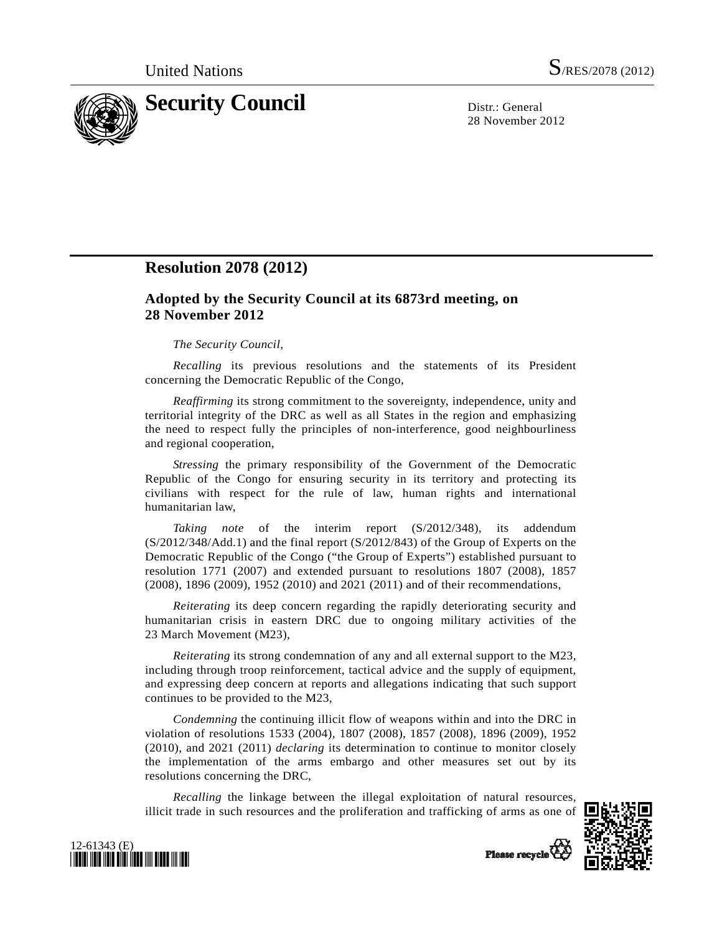

28 November 2012

## **Resolution 2078 (2012)**

## **Adopted by the Security Council at its 6873rd meeting, on 28 November 2012**

## *The Security Council*,

*Recalling* its previous resolutions and the statements of its President concerning the Democratic Republic of the Congo,

*Reaffirming* its strong commitment to the sovereignty, independence, unity and territorial integrity of the DRC as well as all States in the region and emphasizing the need to respect fully the principles of non-interference, good neighbourliness and regional cooperation,

*Stressing* the primary responsibility of the Government of the Democratic Republic of the Congo for ensuring security in its territory and protecting its civilians with respect for the rule of law, human rights and international humanitarian law,

*Taking note* of the interim report (S/2012/348), its addendum (S/2012/348/Add.1) and the final report (S/2012/843) of the Group of Experts on the Democratic Republic of the Congo ("the Group of Experts") established pursuant to resolution 1771 (2007) and extended pursuant to resolutions 1807 (2008), 1857 (2008), 1896 (2009), 1952 (2010) and 2021 (2011) and of their recommendations,

*Reiterating* its deep concern regarding the rapidly deteriorating security and humanitarian crisis in eastern DRC due to ongoing military activities of the 23 March Movement (M23),

*Reiterating* its strong condemnation of any and all external support to the M23, including through troop reinforcement, tactical advice and the supply of equipment, and expressing deep concern at reports and allegations indicating that such support continues to be provided to the M23,

*Condemning* the continuing illicit flow of weapons within and into the DRC in violation of resolutions 1533 (2004), 1807 (2008), 1857 (2008), 1896 (2009), 1952 (2010), and 2021 (2011) *declaring* its determination to continue to monitor closely the implementation of the arms embargo and other measures set out by its resolutions concerning the DRC,

*Recalling* the linkage between the illegal exploitation of natural resources, illicit trade in such resources and the proliferation and trafficking of arms as one of





Please recycle<sup>7</sup>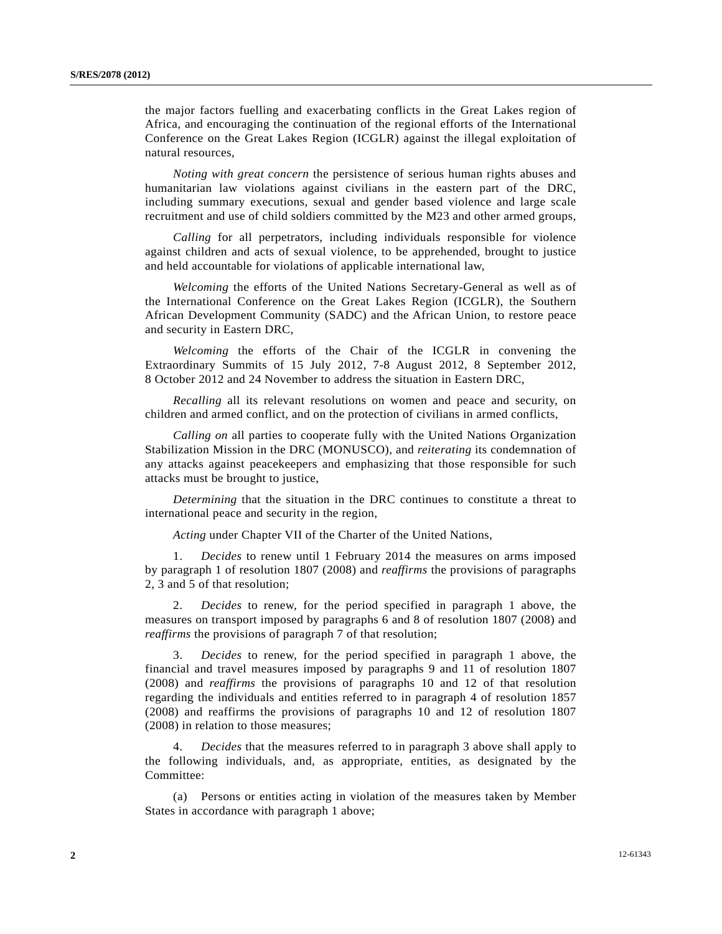the major factors fuelling and exacerbating conflicts in the Great Lakes region of Africa, and encouraging the continuation of the regional efforts of the International Conference on the Great Lakes Region (ICGLR) against the illegal exploitation of natural resources,

*Noting with great concern* the persistence of serious human rights abuses and humanitarian law violations against civilians in the eastern part of the DRC, including summary executions, sexual and gender based violence and large scale recruitment and use of child soldiers committed by the M23 and other armed groups,

*Calling* for all perpetrators, including individuals responsible for violence against children and acts of sexual violence, to be apprehended, brought to justice and held accountable for violations of applicable international law,

*Welcoming* the efforts of the United Nations Secretary-General as well as of the International Conference on the Great Lakes Region (ICGLR), the Southern African Development Community (SADC) and the African Union, to restore peace and security in Eastern DRC,

*Welcoming* the efforts of the Chair of the ICGLR in convening the Extraordinary Summits of 15 July 2012, 7-8 August 2012, 8 September 2012, 8 October 2012 and 24 November to address the situation in Eastern DRC,

*Recalling* all its relevant resolutions on women and peace and security, on children and armed conflict, and on the protection of civilians in armed conflicts,

*Calling on* all parties to cooperate fully with the United Nations Organization Stabilization Mission in the DRC (MONUSCO), and *reiterating* its condemnation of any attacks against peacekeepers and emphasizing that those responsible for such attacks must be brought to justice,

*Determining* that the situation in the DRC continues to constitute a threat to international peace and security in the region,

*Acting* under Chapter VII of the Charter of the United Nations,

 1. *Decides* to renew until 1 February 2014 the measures on arms imposed by paragraph 1 of resolution 1807 (2008) and *reaffirms* the provisions of paragraphs 2, 3 and 5 of that resolution;

 2. *Decides* to renew, for the period specified in paragraph 1 above, the measures on transport imposed by paragraphs 6 and 8 of resolution 1807 (2008) and *reaffirms* the provisions of paragraph 7 of that resolution;

 3. *Decides* to renew, for the period specified in paragraph 1 above, the financial and travel measures imposed by paragraphs 9 and 11 of resolution 1807 (2008) and *reaffirms* the provisions of paragraphs 10 and 12 of that resolution regarding the individuals and entities referred to in paragraph 4 of resolution 1857 (2008) and reaffirms the provisions of paragraphs 10 and 12 of resolution 1807 (2008) in relation to those measures;

 4. *Decides* that the measures referred to in paragraph 3 above shall apply to the following individuals, and, as appropriate, entities, as designated by the Committee:

 (a) Persons or entities acting in violation of the measures taken by Member States in accordance with paragraph 1 above;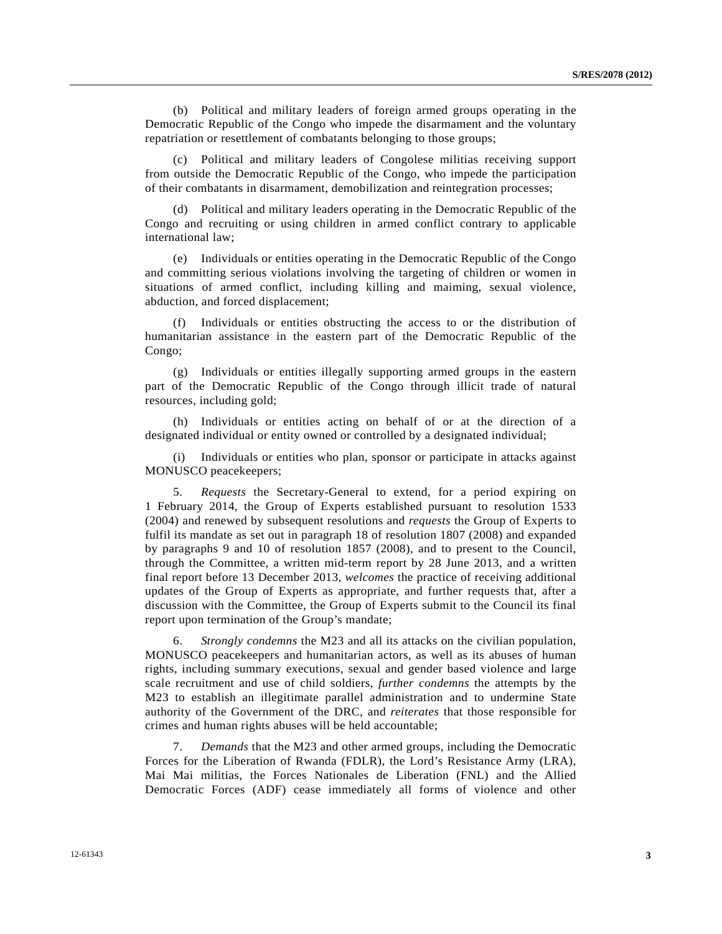(b) Political and military leaders of foreign armed groups operating in the Democratic Republic of the Congo who impede the disarmament and the voluntary repatriation or resettlement of combatants belonging to those groups;

 (c) Political and military leaders of Congolese militias receiving support from outside the Democratic Republic of the Congo, who impede the participation of their combatants in disarmament, demobilization and reintegration processes;

 (d) Political and military leaders operating in the Democratic Republic of the Congo and recruiting or using children in armed conflict contrary to applicable international law;

 (e) Individuals or entities operating in the Democratic Republic of the Congo and committing serious violations involving the targeting of children or women in situations of armed conflict, including killing and maiming, sexual violence, abduction, and forced displacement;

 (f) Individuals or entities obstructing the access to or the distribution of humanitarian assistance in the eastern part of the Democratic Republic of the Congo;

 (g) Individuals or entities illegally supporting armed groups in the eastern part of the Democratic Republic of the Congo through illicit trade of natural resources, including gold;

 (h) Individuals or entities acting on behalf of or at the direction of a designated individual or entity owned or controlled by a designated individual;

Individuals or entities who plan, sponsor or participate in attacks against MONUSCO peacekeepers;

 5. *Requests* the Secretary-General to extend, for a period expiring on 1 February 2014, the Group of Experts established pursuant to resolution 1533 (2004) and renewed by subsequent resolutions and *requests* the Group of Experts to fulfil its mandate as set out in paragraph 18 of resolution 1807 (2008) and expanded by paragraphs 9 and 10 of resolution 1857 (2008), and to present to the Council, through the Committee, a written mid-term report by 28 June 2013, and a written final report before 13 December 2013, *welcomes* the practice of receiving additional updates of the Group of Experts as appropriate, and further requests that, after a discussion with the Committee, the Group of Experts submit to the Council its final report upon termination of the Group's mandate;

 6. *Strongly condemns* the M23 and all its attacks on the civilian population, MONUSCO peacekeepers and humanitarian actors, as well as its abuses of human rights, including summary executions, sexual and gender based violence and large scale recruitment and use of child soldiers, *further condemns* the attempts by the M23 to establish an illegitimate parallel administration and to undermine State authority of the Government of the DRC, and *reiterates* that those responsible for crimes and human rights abuses will be held accountable;

 7. *Demands* that the M23 and other armed groups, including the Democratic Forces for the Liberation of Rwanda (FDLR), the Lord's Resistance Army (LRA), Mai Mai militias, the Forces Nationales de Liberation (FNL) and the Allied Democratic Forces (ADF) cease immediately all forms of violence and other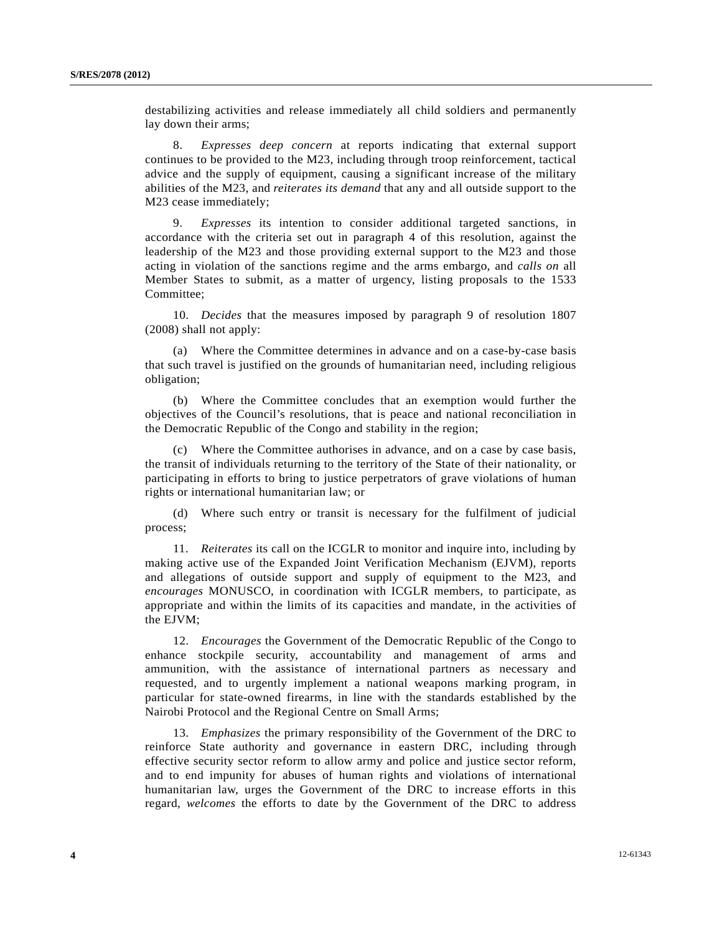destabilizing activities and release immediately all child soldiers and permanently lay down their arms;

 8. *Expresses deep concern* at reports indicating that external support continues to be provided to the M23, including through troop reinforcement, tactical advice and the supply of equipment, causing a significant increase of the military abilities of the M23, and *reiterates its demand* that any and all outside support to the M23 cease immediately;

 9. *Expresses* its intention to consider additional targeted sanctions, in accordance with the criteria set out in paragraph 4 of this resolution, against the leadership of the M23 and those providing external support to the M23 and those acting in violation of the sanctions regime and the arms embargo, and *calls on* all Member States to submit, as a matter of urgency, listing proposals to the 1533 Committee;

 10. *Decides* that the measures imposed by paragraph 9 of resolution 1807 (2008) shall not apply:

 (a) Where the Committee determines in advance and on a case-by-case basis that such travel is justified on the grounds of humanitarian need, including religious obligation;

 (b) Where the Committee concludes that an exemption would further the objectives of the Council's resolutions, that is peace and national reconciliation in the Democratic Republic of the Congo and stability in the region;

 (c) Where the Committee authorises in advance, and on a case by case basis, the transit of individuals returning to the territory of the State of their nationality, or participating in efforts to bring to justice perpetrators of grave violations of human rights or international humanitarian law; or

 (d) Where such entry or transit is necessary for the fulfilment of judicial process;

 11. *Reiterates* its call on the ICGLR to monitor and inquire into, including by making active use of the Expanded Joint Verification Mechanism (EJVM), reports and allegations of outside support and supply of equipment to the M23, and *encourages* MONUSCO, in coordination with ICGLR members, to participate, as appropriate and within the limits of its capacities and mandate, in the activities of the EJVM;

 12. *Encourages* the Government of the Democratic Republic of the Congo to enhance stockpile security, accountability and management of arms and ammunition, with the assistance of international partners as necessary and requested, and to urgently implement a national weapons marking program, in particular for state-owned firearms, in line with the standards established by the Nairobi Protocol and the Regional Centre on Small Arms;

 13. *Emphasizes* the primary responsibility of the Government of the DRC to reinforce State authority and governance in eastern DRC, including through effective security sector reform to allow army and police and justice sector reform, and to end impunity for abuses of human rights and violations of international humanitarian law, urges the Government of the DRC to increase efforts in this regard, *welcomes* the efforts to date by the Government of the DRC to address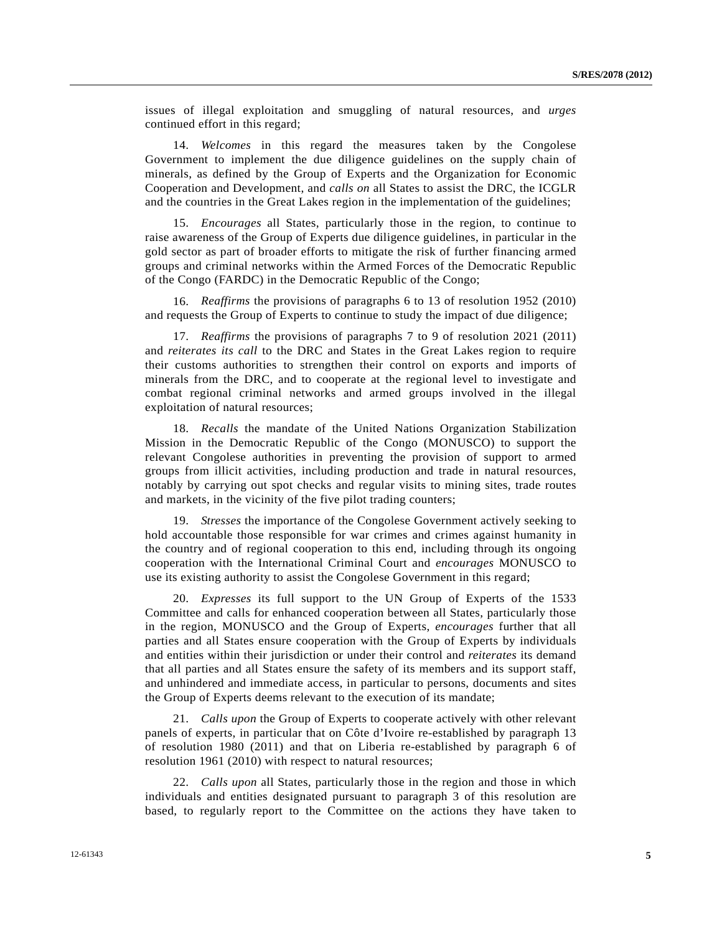issues of illegal exploitation and smuggling of natural resources, and *urges* continued effort in this regard;

 14. *Welcomes* in this regard the measures taken by the Congolese Government to implement the due diligence guidelines on the supply chain of minerals, as defined by the Group of Experts and the Organization for Economic Cooperation and Development, and *calls on* all States to assist the DRC, the ICGLR and the countries in the Great Lakes region in the implementation of the guidelines;

 15. *Encourages* all States, particularly those in the region, to continue to raise awareness of the Group of Experts due diligence guidelines, in particular in the gold sector as part of broader efforts to mitigate the risk of further financing armed groups and criminal networks within the Armed Forces of the Democratic Republic of the Congo (FARDC) in the Democratic Republic of the Congo;

 16. *Reaffirms* the provisions of paragraphs 6 to 13 of resolution 1952 (2010) and requests the Group of Experts to continue to study the impact of due diligence;

 17. *Reaffirms* the provisions of paragraphs 7 to 9 of resolution 2021 (2011) and *reiterates its call* to the DRC and States in the Great Lakes region to require their customs authorities to strengthen their control on exports and imports of minerals from the DRC, and to cooperate at the regional level to investigate and combat regional criminal networks and armed groups involved in the illegal exploitation of natural resources;

 18. *Recalls* the mandate of the United Nations Organization Stabilization Mission in the Democratic Republic of the Congo (MONUSCO) to support the relevant Congolese authorities in preventing the provision of support to armed groups from illicit activities, including production and trade in natural resources, notably by carrying out spot checks and regular visits to mining sites, trade routes and markets, in the vicinity of the five pilot trading counters;

 19. *Stresses* the importance of the Congolese Government actively seeking to hold accountable those responsible for war crimes and crimes against humanity in the country and of regional cooperation to this end, including through its ongoing cooperation with the International Criminal Court and *encourages* MONUSCO to use its existing authority to assist the Congolese Government in this regard;

 20. *Expresses* its full support to the UN Group of Experts of the 1533 Committee and calls for enhanced cooperation between all States, particularly those in the region, MONUSCO and the Group of Experts, *encourages* further that all parties and all States ensure cooperation with the Group of Experts by individuals and entities within their jurisdiction or under their control and *reiterates* its demand that all parties and all States ensure the safety of its members and its support staff, and unhindered and immediate access, in particular to persons, documents and sites the Group of Experts deems relevant to the execution of its mandate;

 21. *Calls upon* the Group of Experts to cooperate actively with other relevant panels of experts, in particular that on Côte d'Ivoire re-established by paragraph 13 of resolution 1980 (2011) and that on Liberia re-established by paragraph 6 of resolution 1961 (2010) with respect to natural resources;

 22. *Calls upon* all States, particularly those in the region and those in which individuals and entities designated pursuant to paragraph 3 of this resolution are based, to regularly report to the Committee on the actions they have taken to